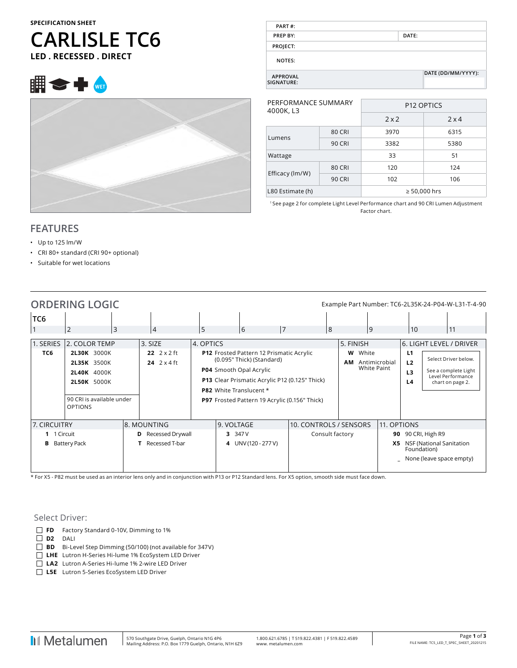# **CARLISLE TC6 LED . RECESSED . DIRECT**





| PART#:          |                    |
|-----------------|--------------------|
| PREP BY:        | DATE:              |
| PROJECT:        |                    |
| NOTES:          |                    |
| <b>APPROVAL</b> | DATE (DD/MM/YYYY): |
| SIGNATURE:      |                    |

| PERFORMANCE SUMMARY<br>4000K, L3 |        | P <sub>12</sub> OPTICS |      |  |  |  |  |
|----------------------------------|--------|------------------------|------|--|--|--|--|
|                                  |        | 2x2                    | 2x4  |  |  |  |  |
|                                  | 80 CRI | 3970                   | 6315 |  |  |  |  |
| Lumens                           | 90 CRI | 3382                   | 5380 |  |  |  |  |
| Wattage                          |        | 33                     | 51   |  |  |  |  |
|                                  | 80 CRI | 120                    | 124  |  |  |  |  |
| Efficacy (lm/W)                  | 90 CRI | 102                    | 106  |  |  |  |  |
| L80 Estimate (h)                 |        | $\geq 50,000$ hrs      |      |  |  |  |  |

1 See page 2 for complete Light Level Performance chart and 90 CRI Lumen Adjustment Factor chart.

### **FEATURES**

- Up to 125 lm/W
- CRI 80+ standard (CRI 90+ optional)
- Suitable for wet locations

|                             | <b>ORDERING LOGIC</b><br>Example Part Number: TC6-2L35K-24-P04-W-L31-T-4-90                                                     |  |                                                     |           |                                                                                                                                                                                                                                       |    |                                           |                                              |               |                      |                                                                                                                  |
|-----------------------------|---------------------------------------------------------------------------------------------------------------------------------|--|-----------------------------------------------------|-----------|---------------------------------------------------------------------------------------------------------------------------------------------------------------------------------------------------------------------------------------|----|-------------------------------------------|----------------------------------------------|---------------|----------------------|------------------------------------------------------------------------------------------------------------------|
| TC <sub>6</sub>             |                                                                                                                                 |  |                                                     |           |                                                                                                                                                                                                                                       |    |                                           |                                              |               |                      |                                                                                                                  |
|                             | $\overline{2}$<br>3                                                                                                             |  | $\overline{4}$                                      | 5         | 6                                                                                                                                                                                                                                     | 17 | 8                                         | 9                                            |               | 10                   | 11                                                                                                               |
| 1. SERIES<br>TC6            | 2. COLOR TEMP<br>2L30K 3000K<br>2L35K 3500K<br><b>2L40K 4000K</b><br>2L50K 5000K<br>90 CRI is available under<br><b>OPTIONS</b> |  | 3. SIZE<br>22 $2 \times 2$ ft<br>24 $2 \times 4$ ft | 4. OPTICS | P12 Frosted Pattern 12 Prismatic Acrylic<br>(0.095" Thick) (Standard)<br>P04 Smooth Opal Acrylic<br>P13 Clear Prismatic Acrylic P12 (0.125" Thick)<br><b>P82</b> White Translucent *<br>P97 Frosted Pattern 19 Acrylic (0.156" Thick) |    |                                           | 5. FINISH<br>White<br>W<br>AМ<br>White Paint | Antimicrobial | L1<br>L2<br>L3<br>L4 | 6. LIGHT LEVEL / DRIVER<br>Select Driver below.<br>See a complete Light<br>Level Performance<br>chart on page 2. |
| 7. CIRCUITRY<br>1 1 Circuit |                                                                                                                                 |  | 8. MOUNTING<br><b>D</b> Recessed Drywall            |           | 9. VOLTAGE<br>3 347 V                                                                                                                                                                                                                 |    | 10. CONTROLS / SENSORS<br>Consult factory |                                              | 11. OPTIONS   |                      | 90 90 CRI, High R9                                                                                               |
|                             | <b>Battery Pack</b>                                                                                                             |  | Recessed T-bar                                      |           | 4 UNV (120 - 277 V)                                                                                                                                                                                                                   |    |                                           |                                              | X5.           | Foundation)          | NSF (National Sanitation<br>_ None (leave space empty)                                                           |

\* For X5 - P82 must be used as an interior lens only and in conjunction with P13 or P12 Standard lens. For X5 option, smooth side must face down.

### Select Driver:

- **FD** Factory Standard 0-10V, Dimming to 1%
- **D2** DALI
- **BD** Bi-Level Step Dimming (50/100) (not available for 347V)
- **LHE** Lutron H-Series Hi-lume 1% EcoSystem LED Driver
- **LA2** Lutron A-Series Hi-lume 1% 2-wire LED Driver
- **L5E** Lutron 5-Series EcoSystem LED Driver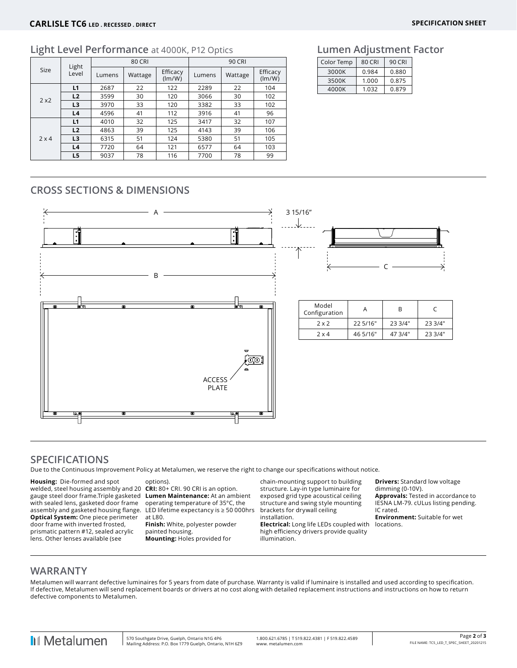### **Light Level Performance** at 4000K, P12 Optics

|              |                |        | <b>80 CRI</b>                 |     | <b>90 CRI</b> |         |                    |  |  |
|--------------|----------------|--------|-------------------------------|-----|---------------|---------|--------------------|--|--|
| Size         | Light<br>Level | Lumens | Efficacy<br>Wattage<br>(lm/W) |     | Lumens        | Wattage | Efficacy<br>(lm/W) |  |  |
|              | L1             | 2687   | 22                            | 122 | 2289          | 22      | 104                |  |  |
| 2x2          | L2             | 3599   | 30                            | 120 | 3066          | 30      | 102                |  |  |
|              | L3             | 3970   | 33                            | 120 | 3382          | 33      | 102                |  |  |
|              | L4             | 4596   | 41                            | 112 | 3916          | 41      | 96                 |  |  |
|              | L1             | 4010   | 32                            | 125 | 3417          | 32      | 107                |  |  |
|              | L2             | 4863   | 39                            | 125 | 4143          | 39      | 106                |  |  |
| $2 \times 4$ | L3             | 6315   | 51                            | 124 | 5380          | 51      | 105                |  |  |
|              | L4             | 7720   | 64                            | 121 | 6577          | 64      | 103                |  |  |
|              | L5             | 9037   | 78                            | 116 | 7700          | 78      | 99                 |  |  |

### **Lumen Adjustment Factor**

| Color Temp | 80 CRI | 90 CRI |
|------------|--------|--------|
| 3000K      | 0.984  | 0.880  |
| 3500K      | 1.000  | 0.875  |
| 4000K      | 1.032  | 0.879  |

## **CROSS SECTIONS & DIMENSIONS**





| Model<br>Configuration |          | R       |         |
|------------------------|----------|---------|---------|
| 2x2                    | 22 5/16" | 23 3/4" | 23 3/4" |
| $2 \times 4$           | 46 5/16" | 47 3/4" | 23 3/4" |

### **SPECIFICATIONS**

Due to the Continuous Improvement Policy at Metalumen, we reserve the right to change our specifications without notice.

**Housing:** Die-formed and spot welded, steel housing assembly and 20 **CRI:** 80+ CRI. 90 CRI is an option. gauge steel door frame.Triple gasketed **Lumen Maintenance:** At an ambient with sealed lens, gasketed door frame assembly and gasketed housing flange. **Optical System:** One piece perimeter door frame with inverted frosted, prismatic pattern #12, sealed acrylic lens. Other lenses available (see

options).

operating temperature of 35°C, the LED lifetime expectancy is ≥ 50 000hrs at L80.

**Finish:** White, polyester powder painted housing. **Mounting:** Holes provided for

chain-mounting support to building structure. Lay-in type luminaire for exposed grid type acoustical ceiling structure and swing style mounting brackets for drywall ceiling installation.

**Electrical:** Long life LEDs coupled with high efficiency drivers provide quality illumination.

**Drivers:** Standard low voltage dimming (0-10V). **Approvals:** Tested in accordance to IESNA LM-79. cULus listing pending. IC rated. **Environment:** Suitable for wet locations.

## **WARRANTY**

Metalumen will warrant defective luminaires for 5 years from date of purchase. Warranty is valid if luminaire is installed and used according to specification. If defective, Metalumen will send replacement boards or drivers at no cost along with detailed replacement instructions and instructions on how to return defective components to Metalumen.